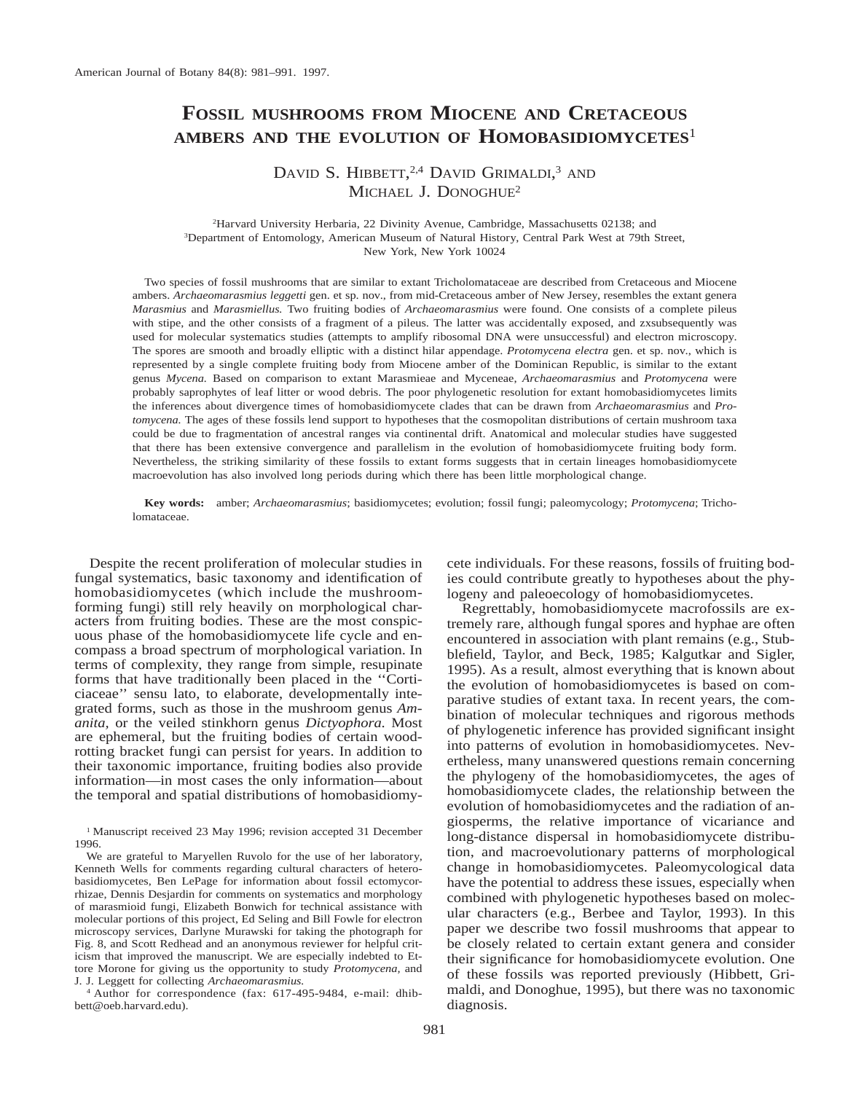# **FOSSIL MUSHROOMS FROM MIOCENE AND CRETACEOUS AMBERS AND THE EVOLUTION OF HOMOBASIDIOMYCETES**<sup>1</sup>

DAVID S. HIBBETT,<sup>2,4</sup> DAVID GRIMALDI,<sup>3</sup> AND MICHAEL J. DONOGHUE<sup>2</sup>

2 Harvard University Herbaria, 22 Divinity Avenue, Cambridge, Massachusetts 02138; and 3 Department of Entomology, American Museum of Natural History, Central Park West at 79th Street, New York, New York 10024

Two species of fossil mushrooms that are similar to extant Tricholomataceae are described from Cretaceous and Miocene ambers. *Archaeomarasmius leggetti* gen. et sp. nov., from mid-Cretaceous amber of New Jersey, resembles the extant genera *Marasmius* and *Marasmiellus.* Two fruiting bodies of *Archaeomarasmius* were found. One consists of a complete pileus with stipe, and the other consists of a fragment of a pileus. The latter was accidentally exposed, and zxsubsequently was used for molecular systematics studies (attempts to amplify ribosomal DNA were unsuccessful) and electron microscopy. The spores are smooth and broadly elliptic with a distinct hilar appendage. *Protomycena electra* gen. et sp. nov., which is represented by a single complete fruiting body from Miocene amber of the Dominican Republic, is similar to the extant genus *Mycena.* Based on comparison to extant Marasmieae and Myceneae, *Archaeomarasmius* and *Protomycena* were probably saprophytes of leaf litter or wood debris. The poor phylogenetic resolution for extant homobasidiomycetes limits the inferences about divergence times of homobasidiomycete clades that can be drawn from *Archaeomarasmius* and *Protomycena.* The ages of these fossils lend support to hypotheses that the cosmopolitan distributions of certain mushroom taxa could be due to fragmentation of ancestral ranges via continental drift. Anatomical and molecular studies have suggested that there has been extensive convergence and parallelism in the evolution of homobasidiomycete fruiting body form. Nevertheless, the striking similarity of these fossils to extant forms suggests that in certain lineages homobasidiomycete macroevolution has also involved long periods during which there has been little morphological change.

**Key words:** amber; *Archaeomarasmius*; basidiomycetes; evolution; fossil fungi; paleomycology; *Protomycena*; Tricholomataceae.

Despite the recent proliferation of molecular studies in fungal systematics, basic taxonomy and identification of homobasidiomycetes (which include the mushroomforming fungi) still rely heavily on morphological characters from fruiting bodies. These are the most conspicuous phase of the homobasidiomycete life cycle and encompass a broad spectrum of morphological variation. In terms of complexity, they range from simple, resupinate forms that have traditionally been placed in the ''Corticiaceae'' sensu lato, to elaborate, developmentally integrated forms, such as those in the mushroom genus *Amanita,* or the veiled stinkhorn genus *Dictyophora.* Most are ephemeral, but the fruiting bodies of certain woodrotting bracket fungi can persist for years. In addition to their taxonomic importance, fruiting bodies also provide information—in most cases the only information—about the temporal and spatial distributions of homobasidiomy-

<sup>4</sup> Author for correspondence (fax: 617-495-9484, e-mail: dhibbett@oeb.harvard.edu).

cete individuals. For these reasons, fossils of fruiting bodies could contribute greatly to hypotheses about the phylogeny and paleoecology of homobasidiomycetes.

Regrettably, homobasidiomycete macrofossils are extremely rare, although fungal spores and hyphae are often encountered in association with plant remains (e.g., Stubblefield, Taylor, and Beck, 1985; Kalgutkar and Sigler, 1995). As a result, almost everything that is known about the evolution of homobasidiomycetes is based on comparative studies of extant taxa. In recent years, the combination of molecular techniques and rigorous methods of phylogenetic inference has provided significant insight into patterns of evolution in homobasidiomycetes. Nevertheless, many unanswered questions remain concerning the phylogeny of the homobasidiomycetes, the ages of homobasidiomycete clades, the relationship between the evolution of homobasidiomycetes and the radiation of angiosperms, the relative importance of vicariance and long-distance dispersal in homobasidiomycete distribution, and macroevolutionary patterns of morphological change in homobasidiomycetes. Paleomycological data have the potential to address these issues, especially when combined with phylogenetic hypotheses based on molecular characters (e.g., Berbee and Taylor, 1993). In this paper we describe two fossil mushrooms that appear to be closely related to certain extant genera and consider their significance for homobasidiomycete evolution. One of these fossils was reported previously (Hibbett, Grimaldi, and Donoghue, 1995), but there was no taxonomic diagnosis.

<sup>&</sup>lt;sup>1</sup> Manuscript received 23 May 1996; revision accepted 31 December 1996.

We are grateful to Maryellen Ruvolo for the use of her laboratory, Kenneth Wells for comments regarding cultural characters of heterobasidiomycetes, Ben LePage for information about fossil ectomycorrhizae, Dennis Desjardin for comments on systematics and morphology of marasmioid fungi, Elizabeth Bonwich for technical assistance with molecular portions of this project, Ed Seling and Bill Fowle for electron microscopy services, Darlyne Murawski for taking the photograph for Fig. 8, and Scott Redhead and an anonymous reviewer for helpful criticism that improved the manuscript. We are especially indebted to Ettore Morone for giving us the opportunity to study *Protomycena,* and J. J. Leggett for collecting *Archaeomarasmius.*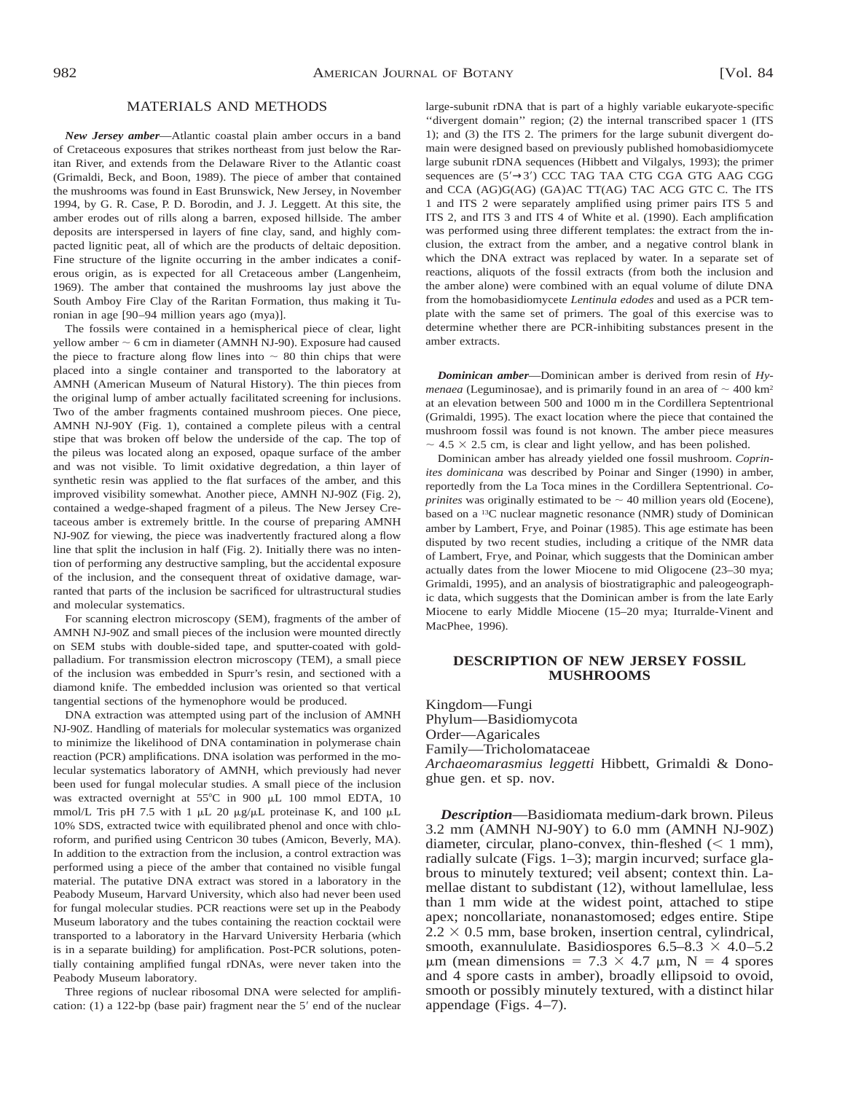## MATERIALS AND METHODS

*New Jersey amber*—Atlantic coastal plain amber occurs in a band of Cretaceous exposures that strikes northeast from just below the Raritan River, and extends from the Delaware River to the Atlantic coast (Grimaldi, Beck, and Boon, 1989). The piece of amber that contained the mushrooms was found in East Brunswick, New Jersey, in November 1994, by G. R. Case, P. D. Borodin, and J. J. Leggett. At this site, the amber erodes out of rills along a barren, exposed hillside. The amber deposits are interspersed in layers of fine clay, sand, and highly compacted lignitic peat, all of which are the products of deltaic deposition. Fine structure of the lignite occurring in the amber indicates a coniferous origin, as is expected for all Cretaceous amber (Langenheim, 1969). The amber that contained the mushrooms lay just above the South Amboy Fire Clay of the Raritan Formation, thus making it Turonian in age [90–94 million years ago (mya)].

The fossils were contained in a hemispherical piece of clear, light yellow amber  $\sim$  6 cm in diameter (AMNH NJ-90). Exposure had caused the piece to fracture along flow lines into  $\sim 80$  thin chips that were placed into a single container and transported to the laboratory at AMNH (American Museum of Natural History). The thin pieces from the original lump of amber actually facilitated screening for inclusions. Two of the amber fragments contained mushroom pieces. One piece, AMNH NJ-90Y (Fig. 1), contained a complete pileus with a central stipe that was broken off below the underside of the cap. The top of the pileus was located along an exposed, opaque surface of the amber and was not visible. To limit oxidative degredation, a thin layer of synthetic resin was applied to the flat surfaces of the amber, and this improved visibility somewhat. Another piece, AMNH NJ-90Z (Fig. 2), contained a wedge-shaped fragment of a pileus. The New Jersey Cretaceous amber is extremely brittle. In the course of preparing AMNH NJ-90Z for viewing, the piece was inadvertently fractured along a flow line that split the inclusion in half (Fig. 2). Initially there was no intention of performing any destructive sampling, but the accidental exposure of the inclusion, and the consequent threat of oxidative damage, warranted that parts of the inclusion be sacrificed for ultrastructural studies and molecular systematics.

For scanning electron microscopy (SEM), fragments of the amber of AMNH NJ-90Z and small pieces of the inclusion were mounted directly on SEM stubs with double-sided tape, and sputter-coated with goldpalladium. For transmission electron microscopy (TEM), a small piece of the inclusion was embedded in Spurr's resin, and sectioned with a diamond knife. The embedded inclusion was oriented so that vertical tangential sections of the hymenophore would be produced.

DNA extraction was attempted using part of the inclusion of AMNH NJ-90Z. Handling of materials for molecular systematics was organized to minimize the likelihood of DNA contamination in polymerase chain reaction (PCR) amplifications. DNA isolation was performed in the molecular systematics laboratory of AMNH, which previously had never been used for fungal molecular studies. A small piece of the inclusion was extracted overnight at  $55^{\circ}$ C in 900 µL 100 mmol EDTA, 10 mmol/L Tris pH 7.5 with 1  $\mu$ L 20  $\mu$ g/ $\mu$ L proteinase K, and 100  $\mu$ L 10% SDS, extracted twice with equilibrated phenol and once with chloroform, and purified using Centricon 30 tubes (Amicon, Beverly, MA). In addition to the extraction from the inclusion, a control extraction was performed using a piece of the amber that contained no visible fungal material. The putative DNA extract was stored in a laboratory in the Peabody Museum, Harvard University, which also had never been used for fungal molecular studies. PCR reactions were set up in the Peabody Museum laboratory and the tubes containing the reaction cocktail were transported to a laboratory in the Harvard University Herbaria (which is in a separate building) for amplification. Post-PCR solutions, potentially containing amplified fungal rDNAs, were never taken into the Peabody Museum laboratory.

Three regions of nuclear ribosomal DNA were selected for amplification: (1) a 122-bp (base pair) fragment near the  $5'$  end of the nuclear large-subunit rDNA that is part of a highly variable eukaryote-specific ''divergent domain'' region; (2) the internal transcribed spacer 1 (ITS 1); and (3) the ITS 2. The primers for the large subunit divergent domain were designed based on previously published homobasidiomycete large subunit rDNA sequences (Hibbett and Vilgalys, 1993); the primer sequences are (5'→3') CCC TAG TAA CTG CGA GTG AAG CGG and CCA (AG)G(AG) (GA)AC TT(AG) TAC ACG GTC C. The ITS 1 and ITS 2 were separately amplified using primer pairs ITS 5 and ITS 2, and ITS 3 and ITS 4 of White et al. (1990). Each amplification was performed using three different templates: the extract from the inclusion, the extract from the amber, and a negative control blank in which the DNA extract was replaced by water. In a separate set of reactions, aliquots of the fossil extracts (from both the inclusion and the amber alone) were combined with an equal volume of dilute DNA from the homobasidiomycete *Lentinula edodes* and used as a PCR template with the same set of primers. The goal of this exercise was to determine whether there are PCR-inhibiting substances present in the amber extracts.

*Dominican amber*—Dominican amber is derived from resin of *Hymenaea* (Leguminosae), and is primarily found in an area of  $\sim$  400 km<sup>2</sup> at an elevation between 500 and 1000 m in the Cordillera Septentrional (Grimaldi, 1995). The exact location where the piece that contained the mushroom fossil was found is not known. The amber piece measures  $\sim$  4.5  $\times$  2.5 cm, is clear and light yellow, and has been polished.

Dominican amber has already yielded one fossil mushroom. *Coprinites dominicana* was described by Poinar and Singer (1990) in amber, reportedly from the La Toca mines in the Cordillera Septentrional. *Coprinites* was originally estimated to be  $\sim$  40 million years old (Eocene), based on a 13C nuclear magnetic resonance (NMR) study of Dominican amber by Lambert, Frye, and Poinar (1985). This age estimate has been disputed by two recent studies, including a critique of the NMR data of Lambert, Frye, and Poinar, which suggests that the Dominican amber actually dates from the lower Miocene to mid Oligocene (23–30 mya; Grimaldi, 1995), and an analysis of biostratigraphic and paleogeographic data, which suggests that the Dominican amber is from the late Early Miocene to early Middle Miocene (15–20 mya; Iturralde-Vinent and MacPhee, 1996).

### **DESCRIPTION OF NEW JERSEY FOSSIL MUSHROOMS**

Kingdom—Fungi Phylum—Basidiomycota Order—Agaricales Family—Tricholomataceae *Archaeomarasmius leggetti* Hibbett, Grimaldi & Donoghue gen. et sp. nov.

*Description*—Basidiomata medium-dark brown. Pileus 3.2 mm (AMNH NJ-90Y) to 6.0 mm (AMNH NJ-90Z) diameter, circular, plano-convex, thin-fleshed  $(< 1$  mm), radially sulcate (Figs. 1–3); margin incurved; surface glabrous to minutely textured; veil absent; context thin. Lamellae distant to subdistant (12), without lamellulae, less than 1 mm wide at the widest point, attached to stipe apex; noncollariate, nonanastomosed; edges entire. Stipe  $2.2 \times 0.5$  mm, base broken, insertion central, cylindrical, smooth, exannululate. Basidiospores  $6.5-8.3 \times 4.0-5.2$  $\mu$ m (mean dimensions = 7.3 × 4.7  $\mu$ m, N = 4 spores and 4 spore casts in amber), broadly ellipsoid to ovoid, smooth or possibly minutely textured, with a distinct hilar appendage (Figs. 4–7).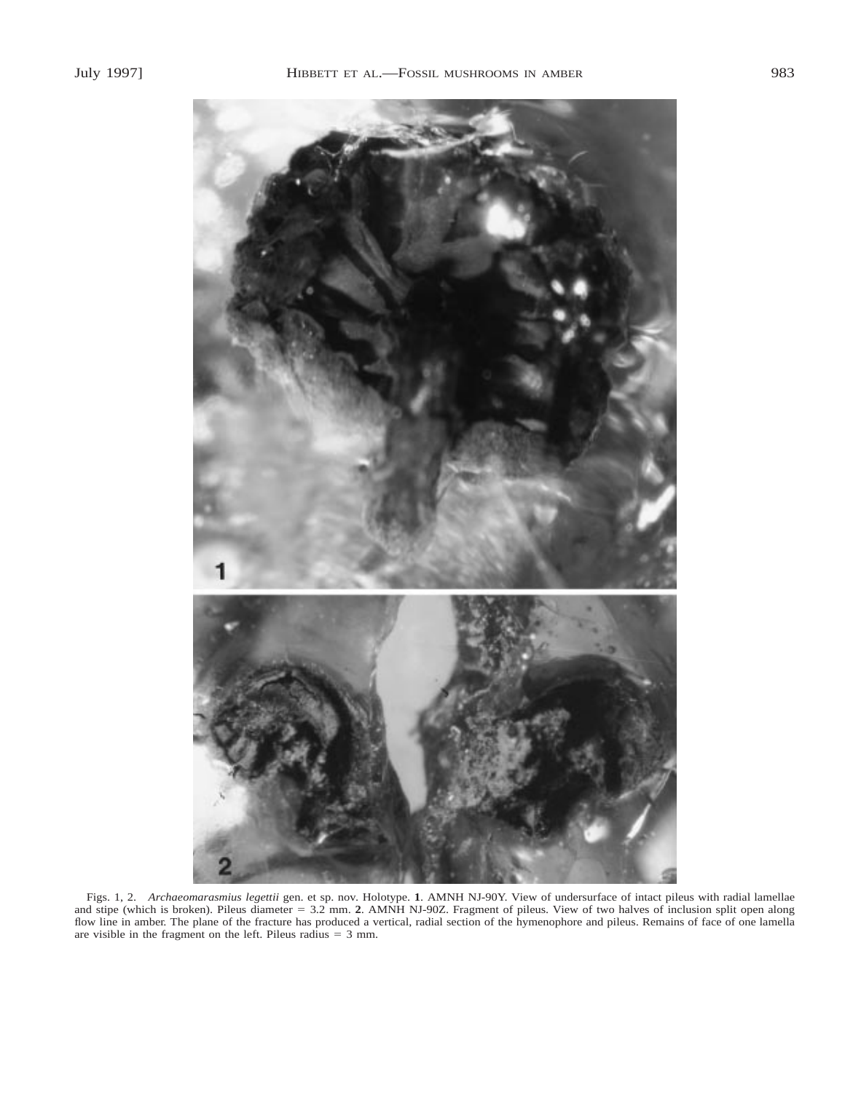

Figs. 1, 2. *Archaeomarasmius legettii* gen. et sp. nov. Holotype. **1**. AMNH NJ-90Y. View of undersurface of intact pileus with radial lamellae and stipe (which is broken). Pileus diameter 5 3.2 mm. **2**. AMNH NJ-90Z. Fragment of pileus. View of two halves of inclusion split open along flow line in amber. The plane of the fracture has produced a vertical, radial section of the hymenophore and pileus. Remains of face of one lamella are visible in the fragment on the left. Pileus radius  $= 3$  mm.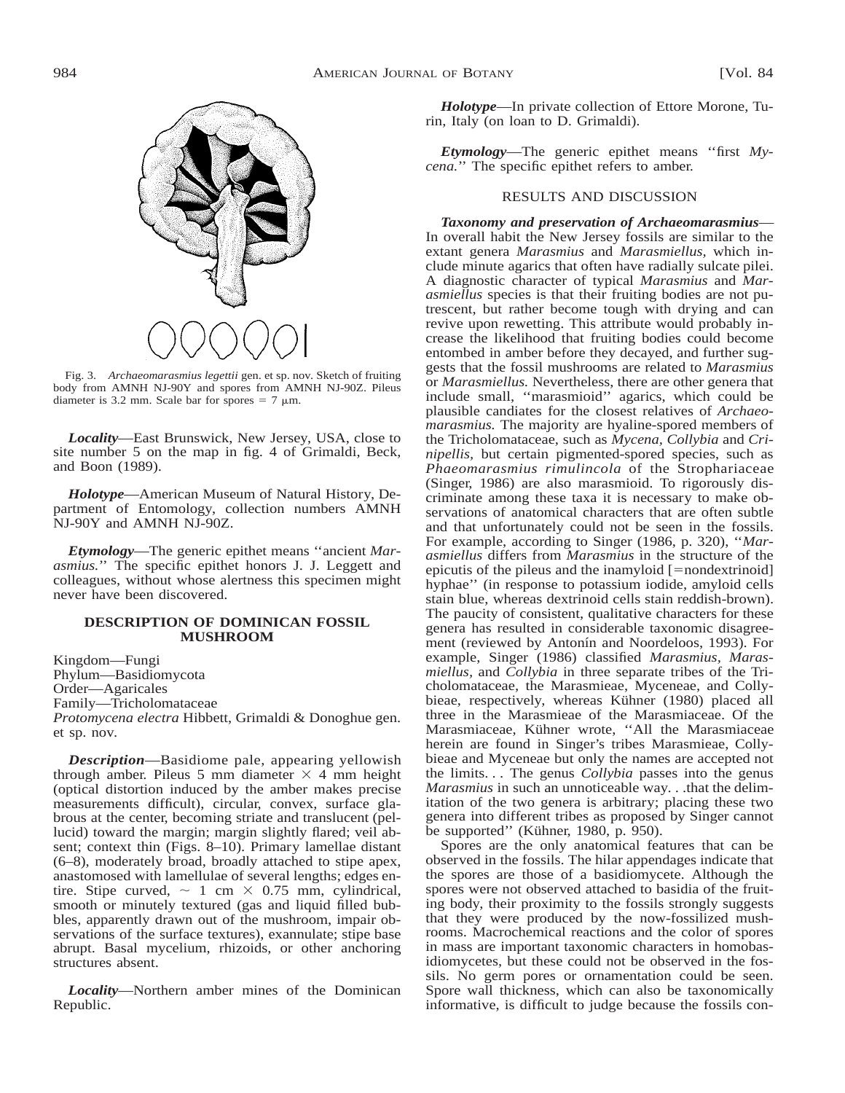

Fig. 3. *Archaeomarasmius legettii* gen. et sp. nov. Sketch of fruiting body from AMNH NJ-90Y and spores from AMNH NJ-90Z. Pileus diameter is 3.2 mm. Scale bar for spores =  $7 \mu m$ .

*Locality*—East Brunswick, New Jersey, USA, close to site number 5 on the map in fig. 4 of Grimaldi, Beck, and Boon (1989).

*Holotype*—American Museum of Natural History, Department of Entomology, collection numbers AMNH NJ-90Y and AMNH NJ-90Z.

*Etymology*—The generic epithet means ''ancient *Marasmius.*'' The specific epithet honors J. J. Leggett and colleagues, without whose alertness this specimen might never have been discovered.

### **DESCRIPTION OF DOMINICAN FOSSIL MUSHROOM**

Kingdom—Fungi Phylum—Basidiomycota Order—Agaricales Family—Tricholomataceae *Protomycena electra* Hibbett, Grimaldi & Donoghue gen. et sp. nov.

*Description*—Basidiome pale, appearing yellowish through amber. Pileus 5 mm diameter  $\times$  4 mm height (optical distortion induced by the amber makes precise measurements difficult), circular, convex, surface glabrous at the center, becoming striate and translucent (pellucid) toward the margin; margin slightly flared; veil absent; context thin (Figs. 8–10). Primary lamellae distant (6–8), moderately broad, broadly attached to stipe apex, anastomosed with lamellulae of several lengths; edges entire. Stipe curved,  $\sim 1$  cm  $\times$  0.75 mm, cylindrical, smooth or minutely textured (gas and liquid filled bubbles, apparently drawn out of the mushroom, impair observations of the surface textures), exannulate; stipe base abrupt. Basal mycelium, rhizoids, or other anchoring structures absent.

*Locality*—Northern amber mines of the Dominican Republic.

*Holotype*—In private collection of Ettore Morone, Turin, Italy (on loan to D. Grimaldi).

*Etymology*—The generic epithet means ''first *Mycena.*'' The specific epithet refers to amber.

## RESULTS AND DISCUSSION

*Taxonomy and preservation of Archaeomarasmius*— In overall habit the New Jersey fossils are similar to the extant genera *Marasmius* and *Marasmiellus,* which include minute agarics that often have radially sulcate pilei. A diagnostic character of typical *Marasmius* and *Marasmiellus* species is that their fruiting bodies are not putrescent, but rather become tough with drying and can revive upon rewetting. This attribute would probably increase the likelihood that fruiting bodies could become entombed in amber before they decayed, and further suggests that the fossil mushrooms are related to *Marasmius* or *Marasmiellus.* Nevertheless, there are other genera that include small, ''marasmioid'' agarics, which could be plausible candiates for the closest relatives of *Archaeomarasmius.* The majority are hyaline-spored members of the Tricholomataceae, such as *Mycena, Collybia* and *Crinipellis,* but certain pigmented-spored species, such as *Phaeomarasmius rimulincola* of the Strophariaceae (Singer, 1986) are also marasmioid. To rigorously discriminate among these taxa it is necessary to make observations of anatomical characters that are often subtle and that unfortunately could not be seen in the fossils. For example, according to Singer (1986, p. 320), ''*Marasmiellus* differs from *Marasmius* in the structure of the epicutis of the pileus and the inamyloid  $[=nond$ trinoid] hyphae'' (in response to potassium iodide, amyloid cells stain blue, whereas dextrinoid cells stain reddish-brown). The paucity of consistent, qualitative characters for these genera has resulted in considerable taxonomic disagreement (reviewed by Antonín and Noordeloos, 1993). For example, Singer (1986) classified *Marasmius, Marasmiellus,* and *Collybia* in three separate tribes of the Tricholomataceae, the Marasmieae, Myceneae, and Collybieae, respectively, whereas Kühner (1980) placed all three in the Marasmieae of the Marasmiaceae. Of the Marasmiaceae, Kühner wrote, "All the Marasmiaceae herein are found in Singer's tribes Marasmieae, Collybieae and Myceneae but only the names are accepted not the limits. . . The genus *Collybia* passes into the genus *Marasmius* in such an unnoticeable way. . .that the delimitation of the two genera is arbitrary; placing these two genera into different tribes as proposed by Singer cannot be supported" (Kühner, 1980, p. 950).

Spores are the only anatomical features that can be observed in the fossils. The hilar appendages indicate that the spores are those of a basidiomycete. Although the spores were not observed attached to basidia of the fruiting body, their proximity to the fossils strongly suggests that they were produced by the now-fossilized mushrooms. Macrochemical reactions and the color of spores in mass are important taxonomic characters in homobasidiomycetes, but these could not be observed in the fossils. No germ pores or ornamentation could be seen. Spore wall thickness, which can also be taxonomically informative, is difficult to judge because the fossils con-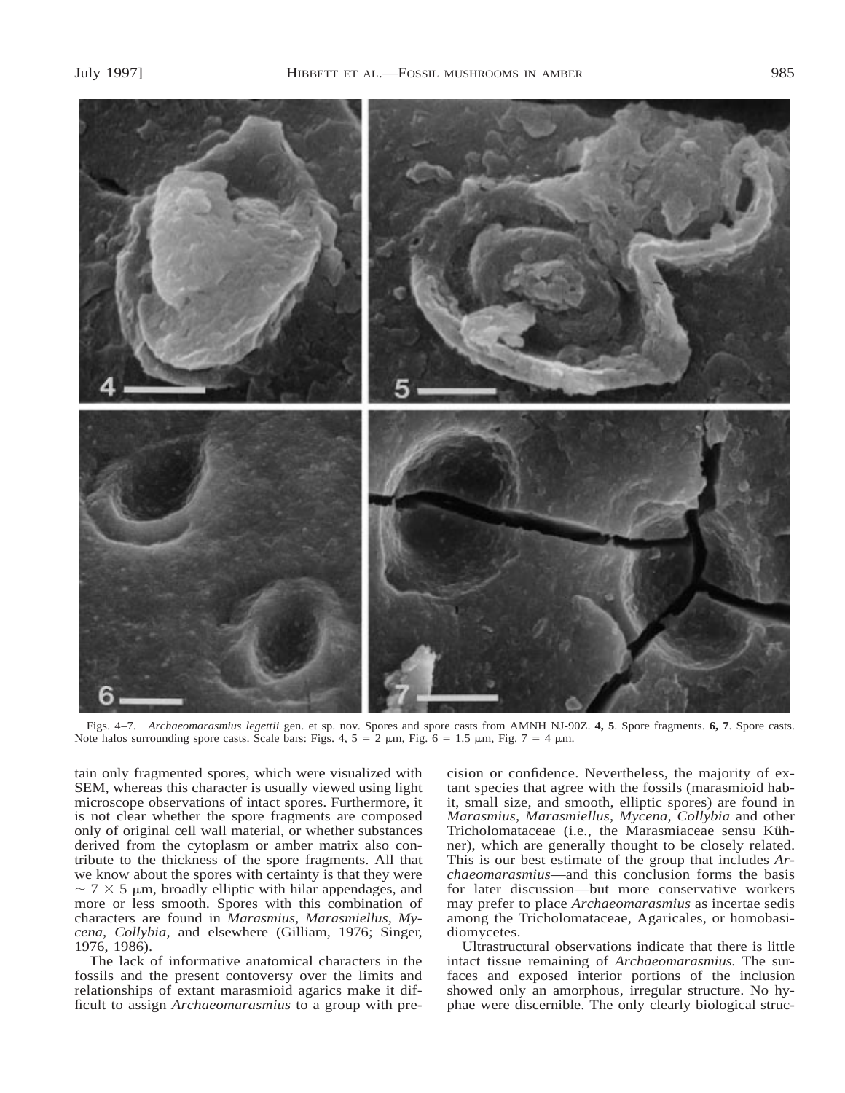

Figs. 4–7. *Archaeomarasmius legettii* gen. et sp. nov. Spores and spore casts from AMNH NJ-90Z. **4, 5**. Spore fragments. **6, 7**. Spore casts. Note halos surrounding spore casts. Scale bars: Figs. 4,  $5 = 2 \mu m$ , Fig.  $6 = 1.5 \mu m$ , Fig.  $7 = 4 \mu m$ .

tain only fragmented spores, which were visualized with SEM, whereas this character is usually viewed using light microscope observations of intact spores. Furthermore, it is not clear whether the spore fragments are composed only of original cell wall material, or whether substances derived from the cytoplasm or amber matrix also contribute to the thickness of the spore fragments. All that we know about the spores with certainty is that they were  $\sim$  7  $\times$  5 µm, broadly elliptic with hilar appendages, and more or less smooth. Spores with this combination of characters are found in *Marasmius, Marasmiellus, Mycena, Collybia,* and elsewhere (Gilliam, 1976; Singer, 1976, 1986).

The lack of informative anatomical characters in the fossils and the present contoversy over the limits and relationships of extant marasmioid agarics make it difficult to assign *Archaeomarasmius* to a group with precision or confidence. Nevertheless, the majority of extant species that agree with the fossils (marasmioid habit, small size, and smooth, elliptic spores) are found in *Marasmius, Marasmiellus, Mycena, Collybia* and other Tricholomataceae (i.e., the Marasmiaceae sensu Kühner), which are generally thought to be closely related. This is our best estimate of the group that includes *Archaeomarasmius*—and this conclusion forms the basis for later discussion—but more conservative workers may prefer to place *Archaeomarasmius* as incertae sedis among the Tricholomataceae, Agaricales, or homobasidiomycetes.

Ultrastructural observations indicate that there is little intact tissue remaining of *Archaeomarasmius.* The surfaces and exposed interior portions of the inclusion showed only an amorphous, irregular structure. No hyphae were discernible. The only clearly biological struc-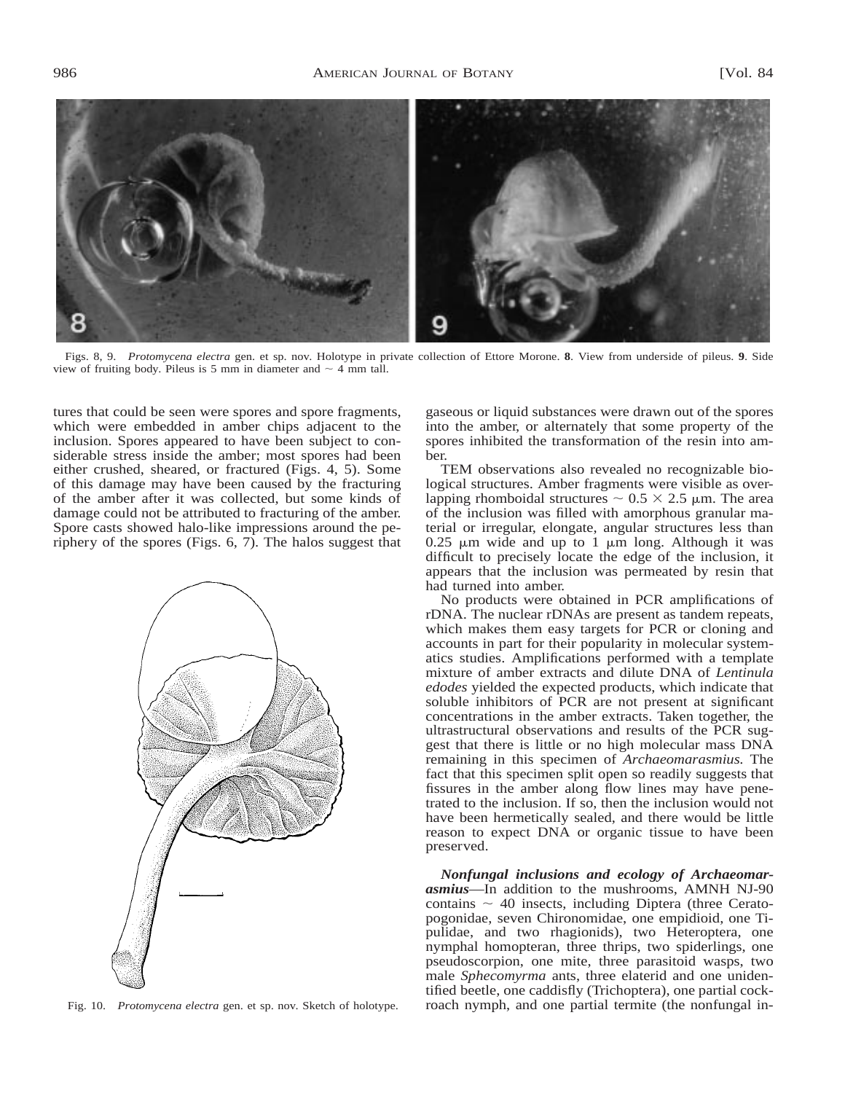

Figs. 8, 9. *Protomycena electra* gen. et sp. nov. Holotype in private collection of Ettore Morone. **8**. View from underside of pileus. **9**. Side view of fruiting body. Pileus is 5 mm in diameter and  $\sim$  4 mm tall.

tures that could be seen were spores and spore fragments, which were embedded in amber chips adjacent to the inclusion. Spores appeared to have been subject to considerable stress inside the amber; most spores had been either crushed, sheared, or fractured (Figs. 4, 5). Some of this damage may have been caused by the fracturing of the amber after it was collected, but some kinds of damage could not be attributed to fracturing of the amber. Spore casts showed halo-like impressions around the periphery of the spores (Figs. 6, 7). The halos suggest that



Fig. 10. *Protomycena electra* gen. et sp. nov. Sketch of holotype.

gaseous or liquid substances were drawn out of the spores into the amber, or alternately that some property of the spores inhibited the transformation of the resin into amber.

TEM observations also revealed no recognizable biological structures. Amber fragments were visible as overlapping rhomboidal structures  $\sim 0.5 \times 2.5$  µm. The area of the inclusion was filled with amorphous granular material or irregular, elongate, angular structures less than  $0.25$  µm wide and up to 1 µm long. Although it was difficult to precisely locate the edge of the inclusion, it appears that the inclusion was permeated by resin that had turned into amber.

No products were obtained in PCR amplifications of rDNA. The nuclear rDNAs are present as tandem repeats, which makes them easy targets for PCR or cloning and accounts in part for their popularity in molecular systematics studies. Amplifications performed with a template mixture of amber extracts and dilute DNA of *Lentinula edodes* yielded the expected products, which indicate that soluble inhibitors of PCR are not present at significant concentrations in the amber extracts. Taken together, the ultrastructural observations and results of the PCR suggest that there is little or no high molecular mass DNA remaining in this specimen of *Archaeomarasmius.* The fact that this specimen split open so readily suggests that fissures in the amber along flow lines may have penetrated to the inclusion. If so, then the inclusion would not have been hermetically sealed, and there would be little reason to expect DNA or organic tissue to have been preserved.

*Nonfungal inclusions and ecology of Archaeomarasmius*—In addition to the mushrooms, AMNH NJ-90 contains  $\sim$  40 insects, including Diptera (three Ceratopogonidae, seven Chironomidae, one empidioid, one Tipulidae, and two rhagionids), two Heteroptera, one nymphal homopteran, three thrips, two spiderlings, one pseudoscorpion, one mite, three parasitoid wasps, two male *Sphecomyrma* ants, three elaterid and one unidentified beetle, one caddisfly (Trichoptera), one partial cockroach nymph, and one partial termite (the nonfungal in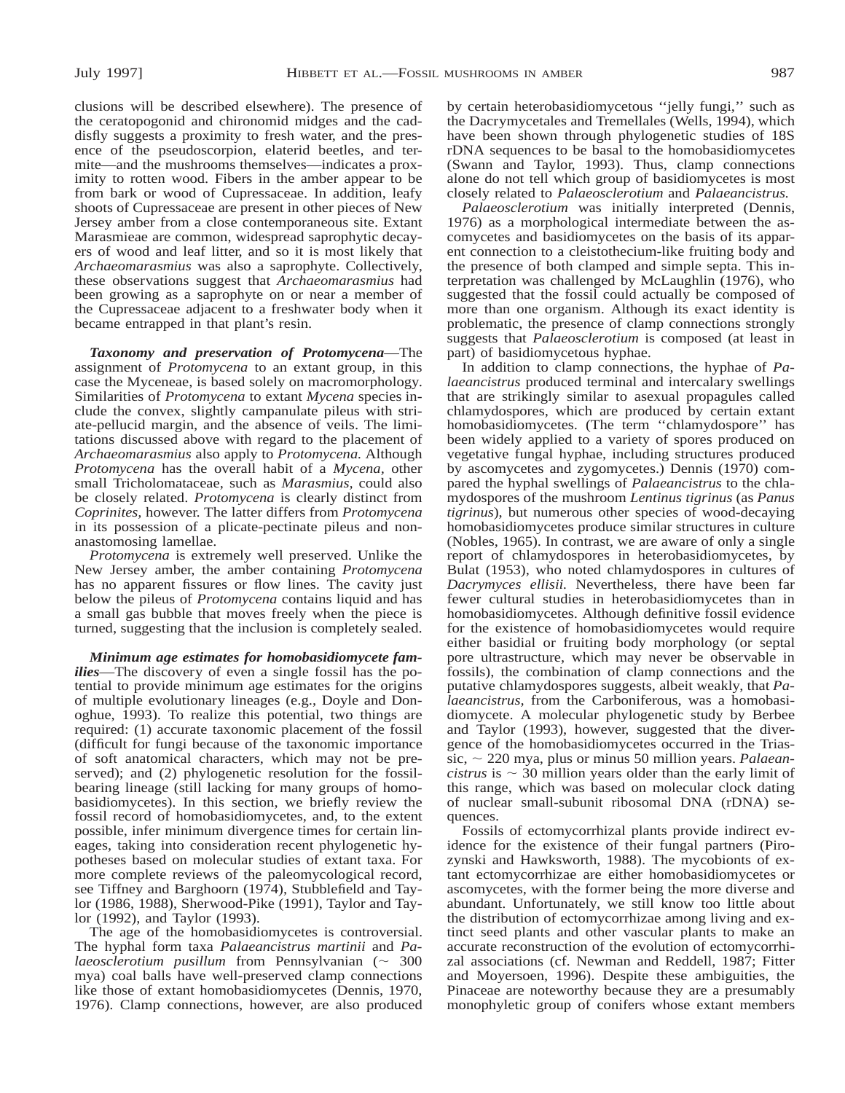clusions will be described elsewhere). The presence of the ceratopogonid and chironomid midges and the caddisfly suggests a proximity to fresh water, and the presence of the pseudoscorpion, elaterid beetles, and termite—and the mushrooms themselves—indicates a proximity to rotten wood. Fibers in the amber appear to be from bark or wood of Cupressaceae. In addition, leafy shoots of Cupressaceae are present in other pieces of New Jersey amber from a close contemporaneous site. Extant Marasmieae are common, widespread saprophytic decayers of wood and leaf litter, and so it is most likely that *Archaeomarasmius* was also a saprophyte. Collectively, these observations suggest that *Archaeomarasmius* had been growing as a saprophyte on or near a member of the Cupressaceae adjacent to a freshwater body when it became entrapped in that plant's resin.

*Taxonomy and preservation of Protomycena*—The assignment of *Protomycena* to an extant group, in this case the Myceneae, is based solely on macromorphology. Similarities of *Protomycena* to extant *Mycena* species include the convex, slightly campanulate pileus with striate-pellucid margin, and the absence of veils. The limitations discussed above with regard to the placement of *Archaeomarasmius* also apply to *Protomycena.* Although *Protomycena* has the overall habit of a *Mycena,* other small Tricholomataceae, such as *Marasmius,* could also be closely related. *Protomycena* is clearly distinct from *Coprinites,* however. The latter differs from *Protomycena* in its possession of a plicate-pectinate pileus and nonanastomosing lamellae.

*Protomycena* is extremely well preserved. Unlike the New Jersey amber, the amber containing *Protomycena* has no apparent fissures or flow lines. The cavity just below the pileus of *Protomycena* contains liquid and has a small gas bubble that moves freely when the piece is turned, suggesting that the inclusion is completely sealed.

*Minimum age estimates for homobasidiomycete families*—The discovery of even a single fossil has the potential to provide minimum age estimates for the origins of multiple evolutionary lineages (e.g., Doyle and Donoghue, 1993). To realize this potential, two things are required: (1) accurate taxonomic placement of the fossil (difficult for fungi because of the taxonomic importance of soft anatomical characters, which may not be preserved); and (2) phylogenetic resolution for the fossilbearing lineage (still lacking for many groups of homobasidiomycetes). In this section, we briefly review the fossil record of homobasidiomycetes, and, to the extent possible, infer minimum divergence times for certain lineages, taking into consideration recent phylogenetic hypotheses based on molecular studies of extant taxa. For more complete reviews of the paleomycological record, see Tiffney and Barghoorn (1974), Stubblefield and Taylor (1986, 1988), Sherwood-Pike (1991), Taylor and Taylor (1992), and Taylor (1993).

The age of the homobasidiomycetes is controversial. The hyphal form taxa *Palaeancistrus martinii* and *Palaeosclerotium pusillum* from Pennsylvanian  $(\sim 300$ mya) coal balls have well-preserved clamp connections like those of extant homobasidiomycetes (Dennis, 1970, 1976). Clamp connections, however, are also produced

by certain heterobasidiomycetous ''jelly fungi,'' such as the Dacrymycetales and Tremellales (Wells, 1994), which have been shown through phylogenetic studies of 18S rDNA sequences to be basal to the homobasidiomycetes (Swann and Taylor, 1993). Thus, clamp connections alone do not tell which group of basidiomycetes is most closely related to *Palaeosclerotium* and *Palaeancistrus.*

*Palaeosclerotium* was initially interpreted (Dennis, 1976) as a morphological intermediate between the ascomycetes and basidiomycetes on the basis of its apparent connection to a cleistothecium-like fruiting body and the presence of both clamped and simple septa. This interpretation was challenged by McLaughlin (1976), who suggested that the fossil could actually be composed of more than one organism. Although its exact identity is problematic, the presence of clamp connections strongly suggests that *Palaeosclerotium* is composed (at least in part) of basidiomycetous hyphae.

In addition to clamp connections, the hyphae of *Palaeancistrus* produced terminal and intercalary swellings that are strikingly similar to asexual propagules called chlamydospores, which are produced by certain extant homobasidiomycetes. (The term ''chlamydospore'' has been widely applied to a variety of spores produced on vegetative fungal hyphae, including structures produced by ascomycetes and zygomycetes.) Dennis (1970) compared the hyphal swellings of *Palaeancistrus* to the chlamydospores of the mushroom *Lentinus tigrinus* (as *Panus tigrinus*), but numerous other species of wood-decaying homobasidiomycetes produce similar structures in culture (Nobles, 1965). In contrast, we are aware of only a single report of chlamydospores in heterobasidiomycetes, by Bulat (1953), who noted chlamydospores in cultures of *Dacrymyces ellisii.* Nevertheless, there have been far fewer cultural studies in heterobasidiomycetes than in homobasidiomycetes. Although definitive fossil evidence for the existence of homobasidiomycetes would require either basidial or fruiting body morphology (or septal pore ultrastructure, which may never be observable in fossils), the combination of clamp connections and the putative chlamydospores suggests, albeit weakly, that *Palaeancistrus,* from the Carboniferous, was a homobasidiomycete. A molecular phylogenetic study by Berbee and Taylor (1993), however, suggested that the divergence of the homobasidiomycetes occurred in the Triassic,  $\sim$  220 mya, plus or minus 50 million years. *Palaeancistrus* is  $\sim$  30 million years older than the early limit of this range, which was based on molecular clock dating of nuclear small-subunit ribosomal DNA (rDNA) sequences.

Fossils of ectomycorrhizal plants provide indirect evidence for the existence of their fungal partners (Pirozynski and Hawksworth, 1988). The mycobionts of extant ectomycorrhizae are either homobasidiomycetes or ascomycetes, with the former being the more diverse and abundant. Unfortunately, we still know too little about the distribution of ectomycorrhizae among living and extinct seed plants and other vascular plants to make an accurate reconstruction of the evolution of ectomycorrhizal associations (cf. Newman and Reddell, 1987; Fitter and Moyersoen, 1996). Despite these ambiguities, the Pinaceae are noteworthy because they are a presumably monophyletic group of conifers whose extant members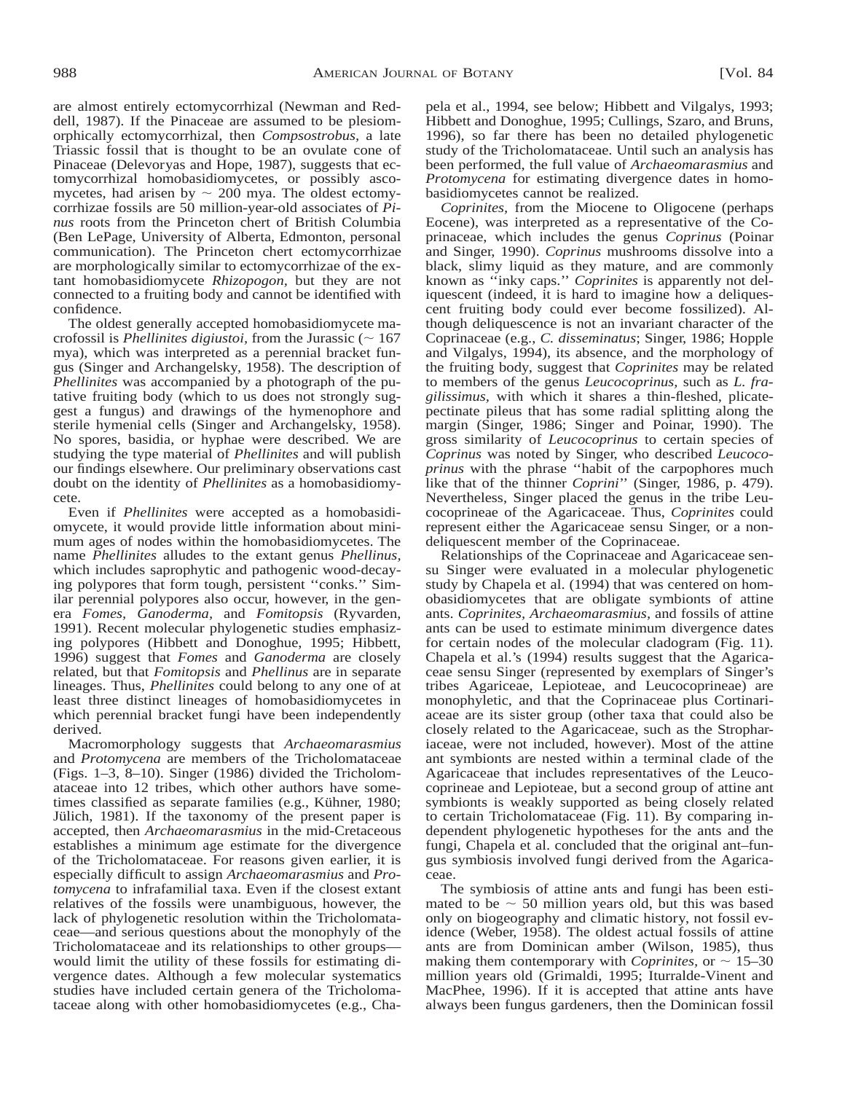are almost entirely ectomycorrhizal (Newman and Reddell, 1987). If the Pinaceae are assumed to be plesiomorphically ectomycorrhizal, then *Compsostrobus,* a late Triassic fossil that is thought to be an ovulate cone of Pinaceae (Delevoryas and Hope, 1987), suggests that ectomycorrhizal homobasidiomycetes, or possibly ascomycetes, had arisen by  $\sim 200$  mya. The oldest ectomycorrhizae fossils are 50 million-year-old associates of *Pinus* roots from the Princeton chert of British Columbia (Ben LePage, University of Alberta, Edmonton, personal communication). The Princeton chert ectomycorrhizae are morphologically similar to ectomycorrhizae of the extant homobasidiomycete *Rhizopogon,* but they are not connected to a fruiting body and cannot be identified with confidence.

The oldest generally accepted homobasidiomycete macrofossil is *Phellinites digiustoi*, from the Jurassic ( $\sim 167$ ) mya), which was interpreted as a perennial bracket fungus (Singer and Archangelsky, 1958). The description of *Phellinites* was accompanied by a photograph of the putative fruiting body (which to us does not strongly suggest a fungus) and drawings of the hymenophore and sterile hymenial cells (Singer and Archangelsky, 1958). No spores, basidia, or hyphae were described. We are studying the type material of *Phellinites* and will publish our findings elsewhere. Our preliminary observations cast doubt on the identity of *Phellinites* as a homobasidiomycete.

Even if *Phellinites* were accepted as a homobasidiomycete, it would provide little information about minimum ages of nodes within the homobasidiomycetes. The name *Phellinites* alludes to the extant genus *Phellinus,* which includes saprophytic and pathogenic wood-decaying polypores that form tough, persistent ''conks.'' Similar perennial polypores also occur, however, in the genera *Fomes, Ganoderma,* and *Fomitopsis* (Ryvarden, 1991). Recent molecular phylogenetic studies emphasizing polypores (Hibbett and Donoghue, 1995; Hibbett, 1996) suggest that *Fomes* and *Ganoderma* are closely related, but that *Fomitopsis* and *Phellinus* are in separate lineages. Thus, *Phellinites* could belong to any one of at least three distinct lineages of homobasidiomycetes in which perennial bracket fungi have been independently derived.

Macromorphology suggests that *Archaeomarasmius* and *Protomycena* are members of the Tricholomataceae (Figs. 1–3, 8–10). Singer (1986) divided the Tricholomataceae into 12 tribes, which other authors have sometimes classified as separate families (e.g., Kühner, 1980; Jülich, 1981). If the taxonomy of the present paper is accepted, then *Archaeomarasmius* in the mid-Cretaceous establishes a minimum age estimate for the divergence of the Tricholomataceae. For reasons given earlier, it is especially difficult to assign *Archaeomarasmius* and *Protomycena* to infrafamilial taxa. Even if the closest extant relatives of the fossils were unambiguous, however, the lack of phylogenetic resolution within the Tricholomataceae—and serious questions about the monophyly of the Tricholomataceae and its relationships to other groups would limit the utility of these fossils for estimating divergence dates. Although a few molecular systematics studies have included certain genera of the Tricholomataceae along with other homobasidiomycetes (e.g., Chapela et al., 1994, see below; Hibbett and Vilgalys, 1993; Hibbett and Donoghue, 1995; Cullings, Szaro, and Bruns, 1996), so far there has been no detailed phylogenetic study of the Tricholomataceae. Until such an analysis has been performed, the full value of *Archaeomarasmius* and *Protomycena* for estimating divergence dates in homobasidiomycetes cannot be realized.

*Coprinites,* from the Miocene to Oligocene (perhaps Eocene), was interpreted as a representative of the Coprinaceae, which includes the genus *Coprinus* (Poinar and Singer, 1990). *Coprinus* mushrooms dissolve into a black, slimy liquid as they mature, and are commonly known as ''inky caps.'' *Coprinites* is apparently not deliquescent (indeed, it is hard to imagine how a deliquescent fruiting body could ever become fossilized). Although deliquescence is not an invariant character of the Coprinaceae (e.g., *C. disseminatus*; Singer, 1986; Hopple and Vilgalys, 1994), its absence, and the morphology of the fruiting body, suggest that *Coprinites* may be related to members of the genus *Leucocoprinus,* such as *L. fragilissimus,* with which it shares a thin-fleshed, plicatepectinate pileus that has some radial splitting along the margin (Singer, 1986; Singer and Poinar, 1990). The gross similarity of *Leucocoprinus* to certain species of *Coprinus* was noted by Singer, who described *Leucocoprinus* with the phrase ''habit of the carpophores much like that of the thinner *Coprini*'' (Singer, 1986, p. 479). Nevertheless, Singer placed the genus in the tribe Leucocoprineae of the Agaricaceae. Thus, *Coprinites* could represent either the Agaricaceae sensu Singer, or a nondeliquescent member of the Coprinaceae.

Relationships of the Coprinaceae and Agaricaceae sensu Singer were evaluated in a molecular phylogenetic study by Chapela et al. (1994) that was centered on homobasidiomycetes that are obligate symbionts of attine ants. *Coprinites, Archaeomarasmius,* and fossils of attine ants can be used to estimate minimum divergence dates for certain nodes of the molecular cladogram (Fig. 11). Chapela et al.'s (1994) results suggest that the Agaricaceae sensu Singer (represented by exemplars of Singer's tribes Agariceae, Lepioteae, and Leucocoprineae) are monophyletic, and that the Coprinaceae plus Cortinariaceae are its sister group (other taxa that could also be closely related to the Agaricaceae, such as the Strophariaceae, were not included, however). Most of the attine ant symbionts are nested within a terminal clade of the Agaricaceae that includes representatives of the Leucocoprineae and Lepioteae, but a second group of attine ant symbionts is weakly supported as being closely related to certain Tricholomataceae (Fig. 11). By comparing independent phylogenetic hypotheses for the ants and the fungi, Chapela et al. concluded that the original ant–fungus symbiosis involved fungi derived from the Agaricaceae.

The symbiosis of attine ants and fungi has been estimated to be  $\sim$  50 million years old, but this was based only on biogeography and climatic history, not fossil evidence (Weber, 1958). The oldest actual fossils of attine ants are from Dominican amber (Wilson, 1985), thus making them contemporary with *Coprinites*, or  $\sim 15-30$ million years old (Grimaldi, 1995; Iturralde-Vinent and MacPhee, 1996). If it is accepted that attine ants have always been fungus gardeners, then the Dominican fossil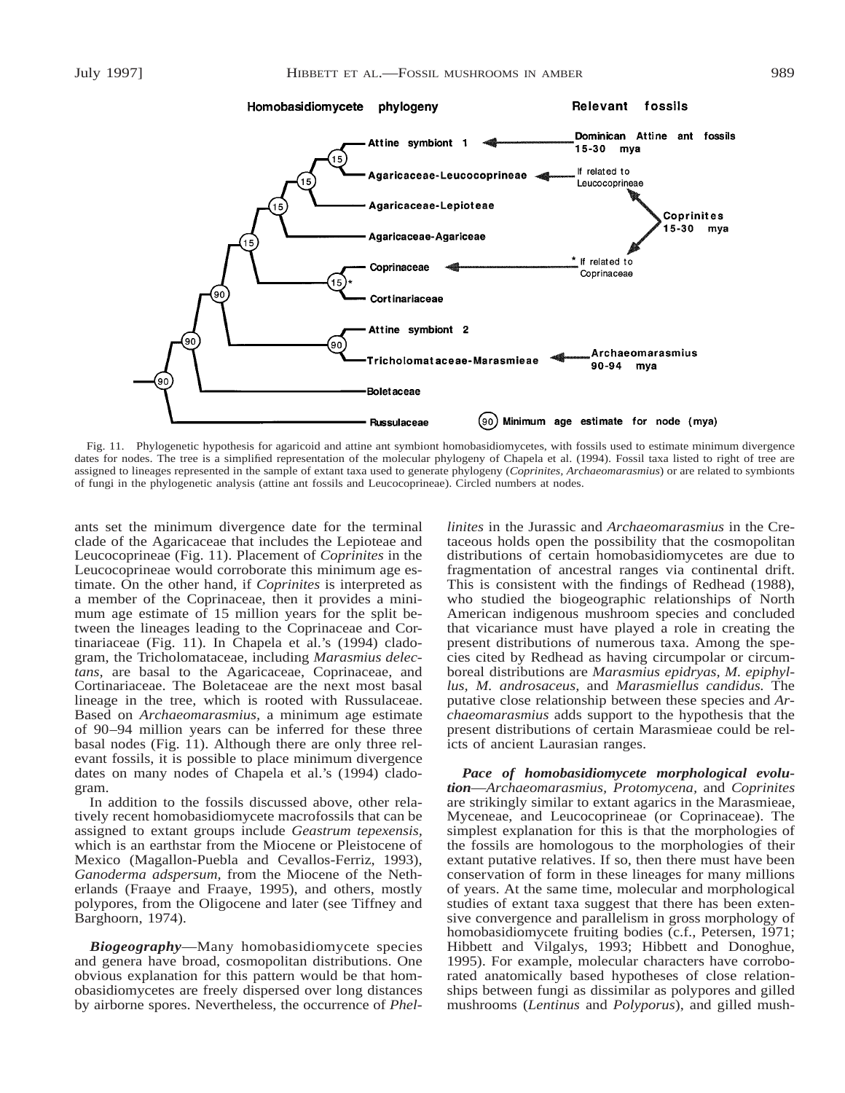

Fig. 11. Phylogenetic hypothesis for agaricoid and attine ant symbiont homobasidiomycetes, with fossils used to estimate minimum divergence dates for nodes. The tree is a simplified representation of the molecular phylogeny of Chapela et al. (1994). Fossil taxa listed to right of tree are assigned to lineages represented in the sample of extant taxa used to generate phylogeny (*Coprinites, Archaeomarasmius*) or are related to symbionts of fungi in the phylogenetic analysis (attine ant fossils and Leucocoprineae). Circled numbers at nodes.

ants set the minimum divergence date for the terminal clade of the Agaricaceae that includes the Lepioteae and Leucocoprineae (Fig. 11). Placement of *Coprinites* in the Leucocoprineae would corroborate this minimum age estimate. On the other hand, if *Coprinites* is interpreted as a member of the Coprinaceae, then it provides a minimum age estimate of 15 million years for the split between the lineages leading to the Coprinaceae and Cortinariaceae (Fig. 11). In Chapela et al.'s (1994) cladogram, the Tricholomataceae, including *Marasmius delectans,* are basal to the Agaricaceae, Coprinaceae, and Cortinariaceae. The Boletaceae are the next most basal lineage in the tree, which is rooted with Russulaceae. Based on *Archaeomarasmius,* a minimum age estimate of 90–94 million years can be inferred for these three basal nodes (Fig. 11). Although there are only three relevant fossils, it is possible to place minimum divergence dates on many nodes of Chapela et al.'s (1994) cladogram.

In addition to the fossils discussed above, other relatively recent homobasidiomycete macrofossils that can be assigned to extant groups include *Geastrum tepexensis,* which is an earthstar from the Miocene or Pleistocene of Mexico (Magallon-Puebla and Cevallos-Ferriz, 1993), *Ganoderma adspersum,* from the Miocene of the Netherlands (Fraaye and Fraaye, 1995), and others, mostly polypores, from the Oligocene and later (see Tiffney and Barghoorn, 1974).

*Biogeography*—Many homobasidiomycete species and genera have broad, cosmopolitan distributions. One obvious explanation for this pattern would be that homobasidiomycetes are freely dispersed over long distances by airborne spores. Nevertheless, the occurrence of *Phel-* *linites* in the Jurassic and *Archaeomarasmius* in the Cretaceous holds open the possibility that the cosmopolitan distributions of certain homobasidiomycetes are due to fragmentation of ancestral ranges via continental drift. This is consistent with the findings of Redhead (1988), who studied the biogeographic relationships of North American indigenous mushroom species and concluded that vicariance must have played a role in creating the present distributions of numerous taxa. Among the species cited by Redhead as having circumpolar or circumboreal distributions are *Marasmius epidryas, M. epiphyllus, M. androsaceus,* and *Marasmiellus candidus.* The putative close relationship between these species and *Archaeomarasmius* adds support to the hypothesis that the present distributions of certain Marasmieae could be relicts of ancient Laurasian ranges.

*Pace of homobasidiomycete morphological evolution*—*Archaeomarasmius, Protomycena,* and *Coprinites* are strikingly similar to extant agarics in the Marasmieae, Myceneae, and Leucocoprineae (or Coprinaceae). The simplest explanation for this is that the morphologies of the fossils are homologous to the morphologies of their extant putative relatives. If so, then there must have been conservation of form in these lineages for many millions of years. At the same time, molecular and morphological studies of extant taxa suggest that there has been extensive convergence and parallelism in gross morphology of homobasidiomycete fruiting bodies (c.f., Petersen, 1971; Hibbett and Vilgalys, 1993; Hibbett and Donoghue, 1995). For example, molecular characters have corroborated anatomically based hypotheses of close relationships between fungi as dissimilar as polypores and gilled mushrooms (*Lentinus* and *Polyporus*), and gilled mush-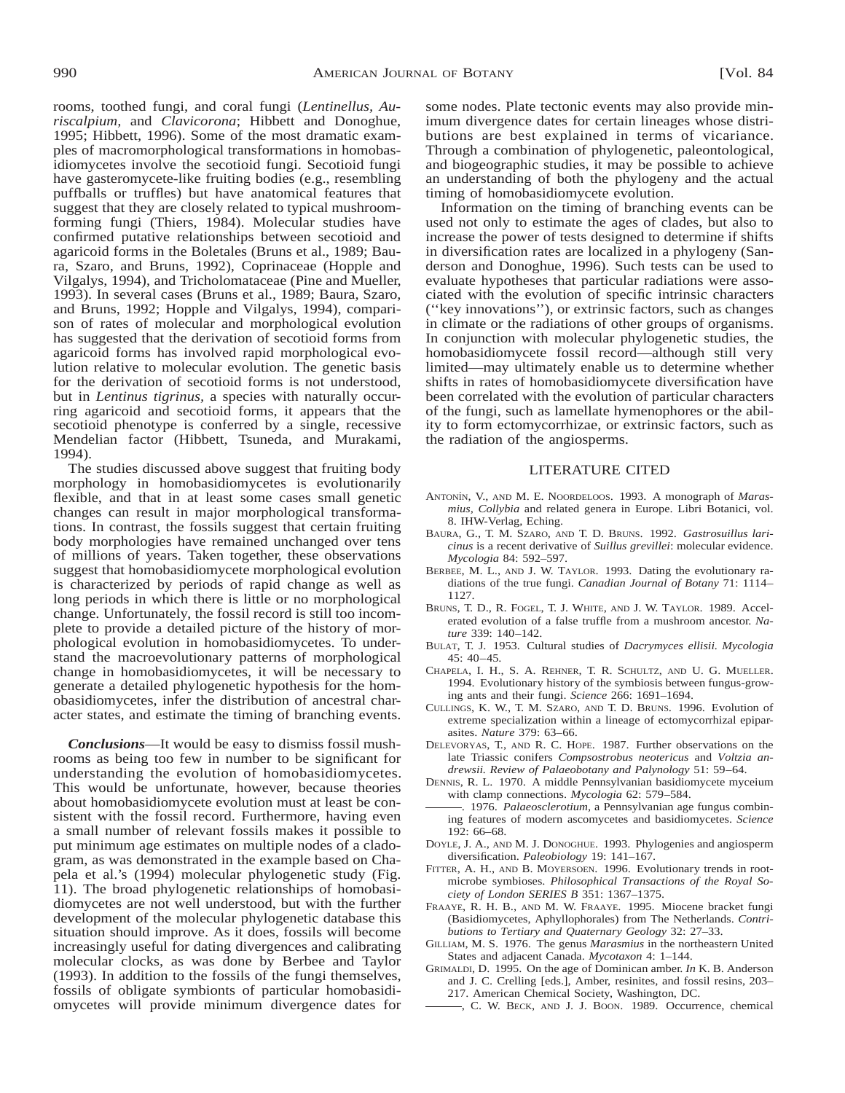rooms, toothed fungi, and coral fungi (*Lentinellus, Auriscalpium,* and *Clavicorona*; Hibbett and Donoghue, 1995; Hibbett, 1996). Some of the most dramatic examples of macromorphological transformations in homobasidiomycetes involve the secotioid fungi. Secotioid fungi have gasteromycete-like fruiting bodies (e.g., resembling puffballs or truffles) but have anatomical features that suggest that they are closely related to typical mushroomforming fungi (Thiers, 1984). Molecular studies have confirmed putative relationships between secotioid and agaricoid forms in the Boletales (Bruns et al., 1989; Baura, Szaro, and Bruns, 1992), Coprinaceae (Hopple and Vilgalys, 1994), and Tricholomataceae (Pine and Mueller, 1993). In several cases (Bruns et al., 1989; Baura, Szaro, and Bruns, 1992; Hopple and Vilgalys, 1994), comparison of rates of molecular and morphological evolution has suggested that the derivation of secotioid forms from agaricoid forms has involved rapid morphological evolution relative to molecular evolution. The genetic basis for the derivation of secotioid forms is not understood, but in *Lentinus tigrinus,* a species with naturally occurring agaricoid and secotioid forms, it appears that the secotioid phenotype is conferred by a single, recessive Mendelian factor (Hibbett, Tsuneda, and Murakami, 1994).

The studies discussed above suggest that fruiting body morphology in homobasidiomycetes is evolutionarily flexible, and that in at least some cases small genetic changes can result in major morphological transformations. In contrast, the fossils suggest that certain fruiting body morphologies have remained unchanged over tens of millions of years. Taken together, these observations suggest that homobasidiomycete morphological evolution is characterized by periods of rapid change as well as long periods in which there is little or no morphological change. Unfortunately, the fossil record is still too incomplete to provide a detailed picture of the history of morphological evolution in homobasidiomycetes. To understand the macroevolutionary patterns of morphological change in homobasidiomycetes, it will be necessary to generate a detailed phylogenetic hypothesis for the homobasidiomycetes, infer the distribution of ancestral character states, and estimate the timing of branching events.

*Conclusions*—It would be easy to dismiss fossil mushrooms as being too few in number to be significant for understanding the evolution of homobasidiomycetes. This would be unfortunate, however, because theories about homobasidiomycete evolution must at least be consistent with the fossil record. Furthermore, having even a small number of relevant fossils makes it possible to put minimum age estimates on multiple nodes of a cladogram, as was demonstrated in the example based on Chapela et al.'s (1994) molecular phylogenetic study (Fig. 11). The broad phylogenetic relationships of homobasidiomycetes are not well understood, but with the further development of the molecular phylogenetic database this situation should improve. As it does, fossils will become increasingly useful for dating divergences and calibrating molecular clocks, as was done by Berbee and Taylor (1993). In addition to the fossils of the fungi themselves, fossils of obligate symbionts of particular homobasidiomycetes will provide minimum divergence dates for some nodes. Plate tectonic events may also provide minimum divergence dates for certain lineages whose distributions are best explained in terms of vicariance. Through a combination of phylogenetic, paleontological, and biogeographic studies, it may be possible to achieve an understanding of both the phylogeny and the actual timing of homobasidiomycete evolution.

Information on the timing of branching events can be used not only to estimate the ages of clades, but also to increase the power of tests designed to determine if shifts in diversification rates are localized in a phylogeny (Sanderson and Donoghue, 1996). Such tests can be used to evaluate hypotheses that particular radiations were associated with the evolution of specific intrinsic characters (''key innovations''), or extrinsic factors, such as changes in climate or the radiations of other groups of organisms. In conjunction with molecular phylogenetic studies, the homobasidiomycete fossil record—although still very limited—may ultimately enable us to determine whether shifts in rates of homobasidiomycete diversification have been correlated with the evolution of particular characters of the fungi, such as lamellate hymenophores or the ability to form ectomycorrhizae, or extrinsic factors, such as the radiation of the angiosperms.

#### LITERATURE CITED

- ANTONI´N, V., AND M. E. NOORDELOOS. 1993. A monograph of *Marasmius, Collybia* and related genera in Europe. Libri Botanici, vol. 8. IHW-Verlag, Eching.
- BAURA, G., T. M. SZARO, AND T. D. BRUNS. 1992. *Gastrosuillus laricinus* is a recent derivative of *Suillus grevillei*: molecular evidence. *Mycologia* 84: 592–597.
- BERBEE, M. L., AND J. W. TAYLOR. 1993. Dating the evolutionary radiations of the true fungi. *Canadian Journal of Botany* 71: 1114– 1127.
- BRUNS, T. D., R. FOGEL, T. J. WHITE, AND J. W. TAYLOR. 1989. Accelerated evolution of a false truffle from a mushroom ancestor. *Nature* 339: 140–142.
- BULAT, T. J. 1953. Cultural studies of *Dacrymyces ellisii. Mycologia*  $45 \cdot 40 - 45$
- CHAPELA, I. H., S. A. REHNER, T. R. SCHULTZ, AND U. G. MUELLER. 1994. Evolutionary history of the symbiosis between fungus-growing ants and their fungi. *Science* 266: 1691–1694.
- CULLINGS, K. W., T. M. SZARO, AND T. D. BRUNS. 1996. Evolution of extreme specialization within a lineage of ectomycorrhizal epiparasites. *Nature* 379: 63–66.
- DELEVORYAS, T., AND R. C. HOPE. 1987. Further observations on the late Triassic conifers *Compsostrobus neotericus* and *Voltzia andrewsii. Review of Palaeobotany and Palynology* 51: 59–64.
- DENNIS, R. L. 1970. A middle Pennsylvanian basidiomycete myceium with clamp connections. *Mycologia* 62: 579–584.
- . 1976. *Palaeosclerotium,* a Pennsylvanian age fungus combining features of modern ascomycetes and basidiomycetes. *Science*  $192.66 - 68$
- DOYLE, J. A., AND M. J. DONOGHUE. 1993. Phylogenies and angiosperm diversification. *Paleobiology* 19: 141–167.
- FITTER, A. H., AND B. MOYERSOEN. 1996. Evolutionary trends in rootmicrobe symbioses. *Philosophical Transactions of the Royal Society of London SERIES B* 351: 1367–1375.
- FRAAYE, R. H. B., AND M. W. FRAAYE. 1995. Miocene bracket fungi (Basidiomycetes, Aphyllophorales) from The Netherlands. *Contributions to Tertiary and Quaternary Geology* 32: 27–33.
- GILLIAM, M. S. 1976. The genus *Marasmius* in the northeastern United States and adjacent Canada. *Mycotaxon* 4: 1–144.
- GRIMALDI, D. 1995. On the age of Dominican amber. *In* K. B. Anderson and J. C. Crelling [eds.], Amber, resinites, and fossil resins, 203– 217. American Chemical Society, Washington, DC.
	- , C. W. BECK, AND J. J. BOON. 1989. Occurrence, chemical